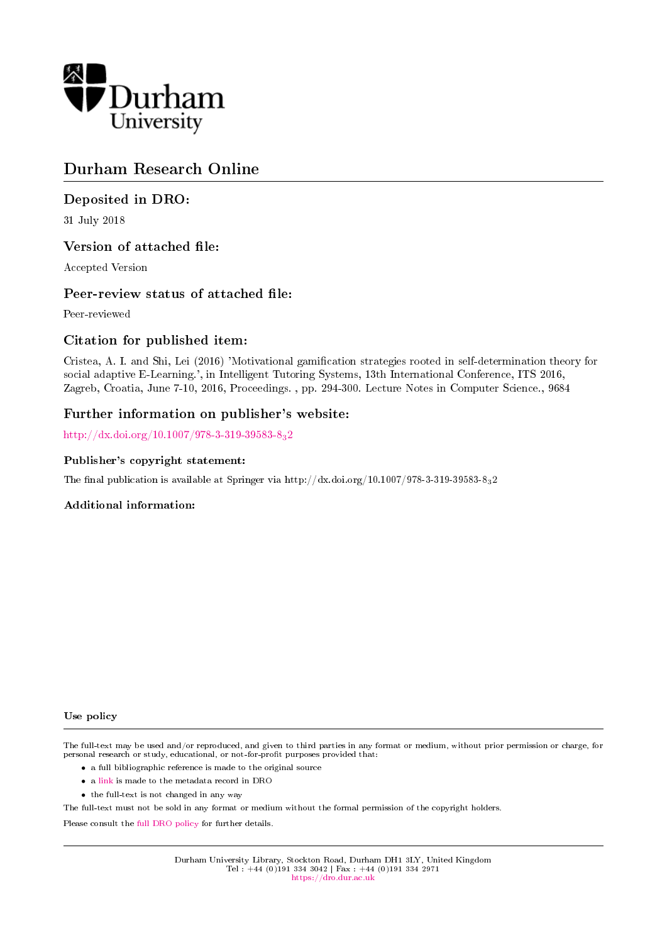

# Durham Research Online

## Deposited in DRO:

31 July 2018

## Version of attached file:

Accepted Version

## Peer-review status of attached file:

Peer-reviewed

## Citation for published item:

Cristea, A. I. and Shi, Lei (2016) 'Motivational gamification strategies rooted in self-determination theory for social adaptive E-Learning.', in Intelligent Tutoring Systems, 13th International Conference, ITS 2016, Zagreb, Croatia, June 7-10, 2016, Proceedings. , pp. 294-300. Lecture Notes in Computer Science., 9684

## Further information on publisher's website:

[http://dx.doi.org/10.1007/978-3-319-39583-8](http://dx.doi.org/10.1007/978-3-319-39583-8_32)32

### Publisher's copyright statement:

The final publication is available at Springer via http://dx.doi.org/10.1007/978-3-319-39583-832

### Additional information:

#### Use policy

The full-text may be used and/or reproduced, and given to third parties in any format or medium, without prior permission or charge, for personal research or study, educational, or not-for-profit purposes provided that:

- a full bibliographic reference is made to the original source
- a [link](http://dro.dur.ac.uk/25715/) is made to the metadata record in DRO
- the full-text is not changed in any way

The full-text must not be sold in any format or medium without the formal permission of the copyright holders.

Please consult the [full DRO policy](https://dro.dur.ac.uk/policies/usepolicy.pdf) for further details.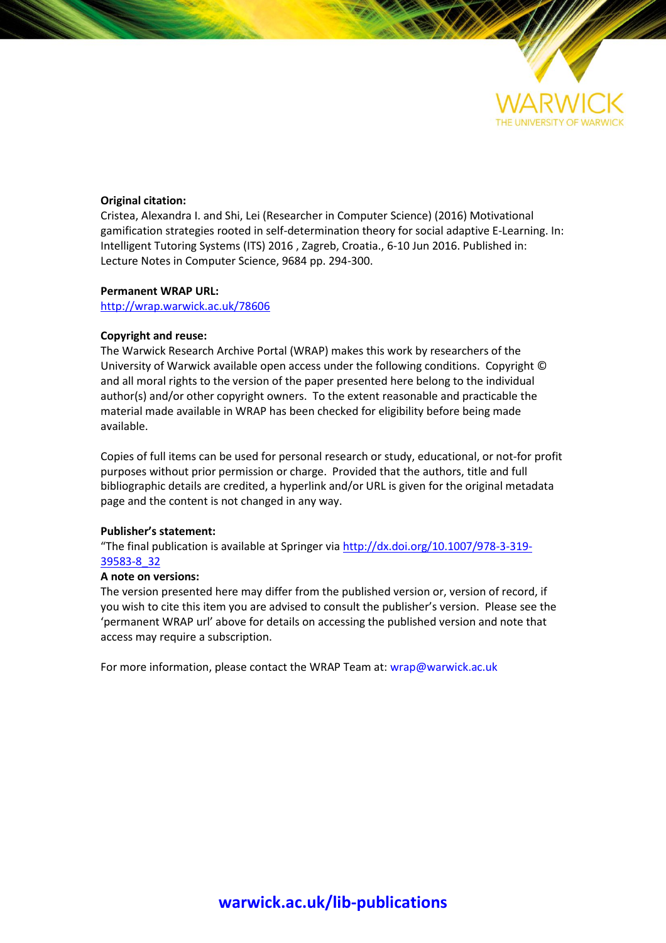

### **Original citation:**

Cristea, Alexandra I. and Shi, Lei (Researcher in Computer Science) (2016) Motivational gamification strategies rooted in self-determination theory for social adaptive E-Learning. In: Intelligent Tutoring Systems (ITS) 2016 , Zagreb, Croatia., 6-10 Jun 2016. Published in: Lecture Notes in Computer Science, 9684 pp. 294-300.

### **Permanent WRAP URL:**

<http://wrap.warwick.ac.uk/78606>

### **Copyright and reuse:**

The Warwick Research Archive Portal (WRAP) makes this work by researchers of the University of Warwick available open access under the following conditions. Copyright © and all moral rights to the version of the paper presented here belong to the individual author(s) and/or other copyright owners. To the extent reasonable and practicable the material made available in WRAP has been checked for eligibility before being made available.

Copies of full items can be used for personal research or study, educational, or not-for profit purposes without prior permission or charge. Provided that the authors, title and full bibliographic details are credited, a hyperlink and/or URL is given for the original metadata page and the content is not changed in any way.

## **Publisher's statement:**

"The final publication is available at Springer via [http://dx.doi.org/10.1007/978-3-319-](http://dx.doi.org/10.1007/978-3-319-39583-8_32) [39583-8\\_32](http://dx.doi.org/10.1007/978-3-319-39583-8_32)

## **A note on versions:**

The version presented here may differ from the published version or, version of record, if you wish to cite this item you are advised to consult the publisher's version. Please see the 'permanent WRAP url' above for details on accessing the published version and note that access may require a subscription.

For more information, please contact the WRAP Team at[: wrap@warwick.ac.uk](mailto:wrap@warwick.ac.uk)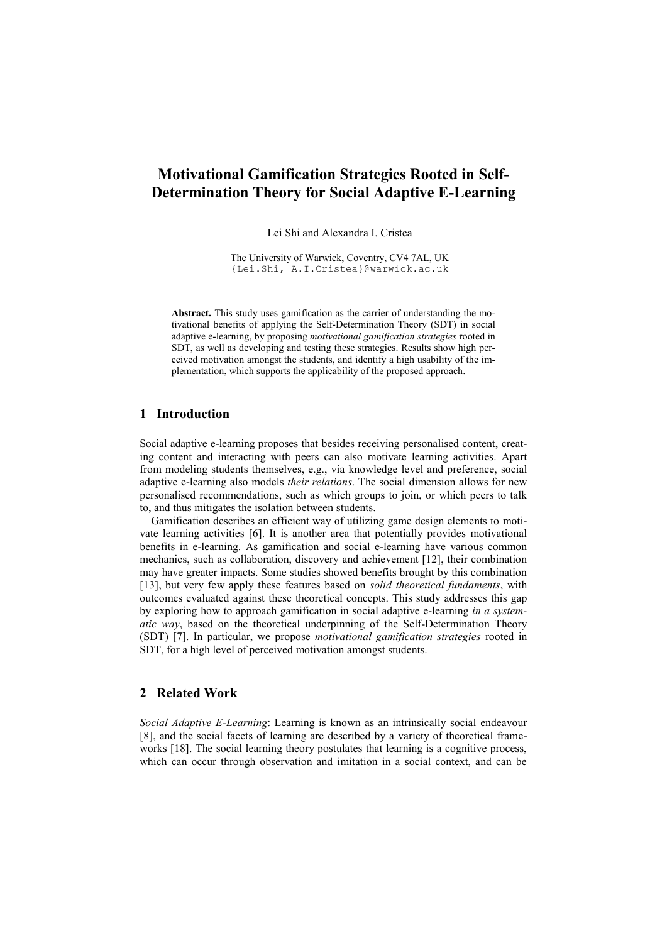## **Motivational Gamification Strategies Rooted in Self-Determination Theory for Social Adaptive E-Learning**

Lei Shi and Alexandra I. Cristea

The University of Warwick, Coventry, CV4 7AL, UK {Lei.Shi, A.I.Cristea}@warwick.ac.uk

**Abstract.** This study uses gamification as the carrier of understanding the motivational benefits of applying the Self-Determination Theory (SDT) in social adaptive e-learning, by proposing *motivational gamification strategies* rooted in SDT, as well as developing and testing these strategies. Results show high perceived motivation amongst the students, and identify a high usability of the implementation, which supports the applicability of the proposed approach.

## **1 Introduction**

Social adaptive e-learning proposes that besides receiving personalised content, creating content and interacting with peers can also motivate learning activities. Apart from modeling students themselves, e.g., via knowledge level and preference, social adaptive e-learning also models *their relations*. The social dimension allows for new personalised recommendations, such as which groups to join, or which peers to talk to, and thus mitigates the isolation between students.

 Gamification describes an efficient way of utilizing game design elements to motivate learning activities [6]. It is another area that potentially provides motivational benefits in e-learning. As gamification and social e-learning have various common mechanics, such as collaboration, discovery and achievement [12], their combination may have greater impacts. Some studies showed benefits brought by this combination [13], but very few apply these features based on *solid theoretical fundaments*, with outcomes evaluated against these theoretical concepts. This study addresses this gap by exploring how to approach gamification in social adaptive e-learning *in a systematic way*, based on the theoretical underpinning of the Self-Determination Theory (SDT) [7]. In particular, we propose *motivational gamification strategies* rooted in SDT, for a high level of perceived motivation amongst students.

### **2 Related Work**

*Social Adaptive E-Learning*: Learning is known as an intrinsically social endeavour [8], and the social facets of learning are described by a variety of theoretical frameworks [18]. The social learning theory postulates that learning is a cognitive process, which can occur through observation and imitation in a social context, and can be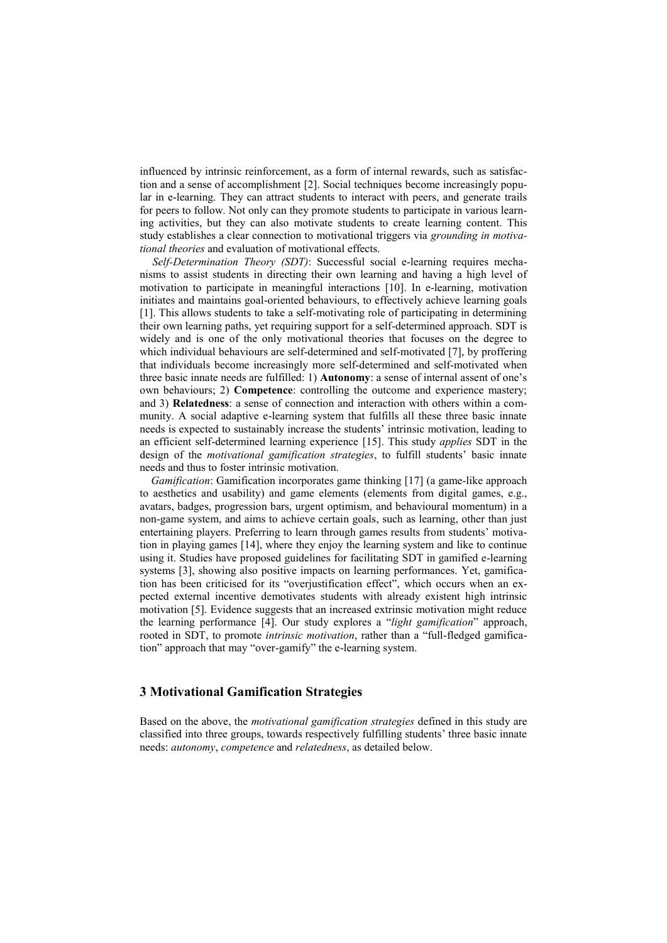influenced by intrinsic reinforcement, as a form of internal rewards, such as satisfaction and a sense of accomplishment [2]. Social techniques become increasingly popular in e-learning. They can attract students to interact with peers, and generate trails for peers to follow. Not only can they promote students to participate in various learning activities, but they can also motivate students to create learning content. This study establishes a clear connection to motivational triggers via *grounding in motivational theories* and evaluation of motivational effects.

*Self-Determination Theory (SDT)*: Successful social e-learning requires mechanisms to assist students in directing their own learning and having a high level of motivation to participate in meaningful interactions [10]. In e-learning, motivation initiates and maintains goal-oriented behaviours, to effectively achieve learning goals [1]. This allows students to take a self-motivating role of participating in determining their own learning paths, yet requiring support for a self-determined approach. SDT is widely and is one of the only motivational theories that focuses on the degree to which individual behaviours are self-determined and self-motivated [7], by proffering that individuals become increasingly more self-determined and self-motivated when three basic innate needs are fulfilled: 1) **Autonomy**: a sense of internal assent of one's own behaviours; 2) **Competence**: controlling the outcome and experience mastery; and 3) **Relatedness**: a sense of connection and interaction with others within a community. A social adaptive e-learning system that fulfills all these three basic innate needs is expected to sustainably increase the students' intrinsic motivation, leading to an efficient self-determined learning experience [15]. This study *applies* SDT in the design of the *motivational gamification strategies*, to fulfill students' basic innate needs and thus to foster intrinsic motivation.

 *Gamification*: Gamification incorporates game thinking [17] (a game-like approach to aesthetics and usability) and game elements (elements from digital games, e.g., avatars, badges, progression bars, urgent optimism, and behavioural momentum) in a non-game system, and aims to achieve certain goals, such as learning, other than just entertaining players. Preferring to learn through games results from students' motivation in playing games [14], where they enjoy the learning system and like to continue using it. Studies have proposed guidelines for facilitating SDT in gamified e-learning systems [3], showing also positive impacts on learning performances. Yet, gamification has been criticised for its "overjustification effect", which occurs when an expected external incentive demotivates students with already existent high intrinsic motivation [5]. Evidence suggests that an increased extrinsic motivation might reduce the learning performance [4]. Our study explores a "*light gamification*" approach, rooted in SDT, to promote *intrinsic motivation*, rather than a "full-fledged gamification" approach that may "over-gamify" the e-learning system.

## **3 Motivational Gamification Strategies**

Based on the above, the *motivational gamification strategies* defined in this study are classified into three groups, towards respectively fulfilling students' three basic innate needs: *autonomy*, *competence* and *relatedness*, as detailed below.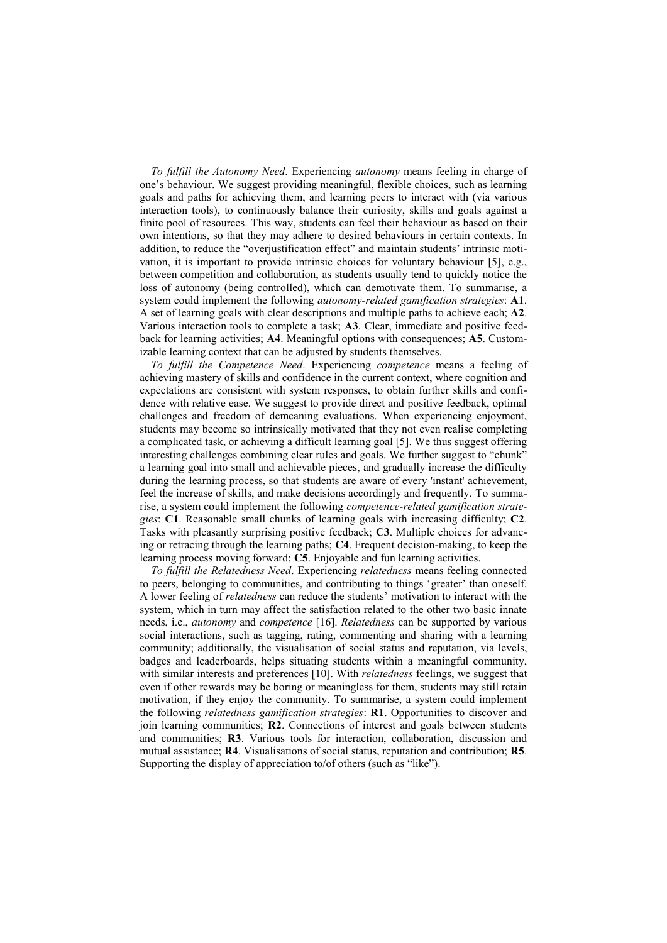*To fulfill the Autonomy Need*. Experiencing *autonomy* means feeling in charge of one's behaviour. We suggest providing meaningful, flexible choices, such as learning goals and paths for achieving them, and learning peers to interact with (via various interaction tools), to continuously balance their curiosity, skills and goals against a finite pool of resources. This way, students can feel their behaviour as based on their own intentions, so that they may adhere to desired behaviours in certain contexts. In addition, to reduce the "overjustification effect" and maintain students' intrinsic motivation, it is important to provide intrinsic choices for voluntary behaviour [5], e.g., between competition and collaboration, as students usually tend to quickly notice the loss of autonomy (being controlled), which can demotivate them. To summarise, a system could implement the following *autonomy-related gamification strategies*: **A1**. A set of learning goals with clear descriptions and multiple paths to achieve each; **A2**. Various interaction tools to complete a task; **A3**. Clear, immediate and positive feedback for learning activities; **A4**. Meaningful options with consequences; **A5**. Customizable learning context that can be adjusted by students themselves.

 *To fulfill the Competence Need*. Experiencing *competence* means a feeling of achieving mastery of skills and confidence in the current context, where cognition and expectations are consistent with system responses, to obtain further skills and confidence with relative ease. We suggest to provide direct and positive feedback, optimal challenges and freedom of demeaning evaluations. When experiencing enjoyment, students may become so intrinsically motivated that they not even realise completing a complicated task, or achieving a difficult learning goal [5]. We thus suggest offering interesting challenges combining clear rules and goals. We further suggest to "chunk" a learning goal into small and achievable pieces, and gradually increase the difficulty during the learning process, so that students are aware of every 'instant' achievement, feel the increase of skills, and make decisions accordingly and frequently. To summarise, a system could implement the following *competence-related gamification strategies*: **C1**. Reasonable small chunks of learning goals with increasing difficulty; **C2**. Tasks with pleasantly surprising positive feedback; **C3**. Multiple choices for advancing or retracing through the learning paths; **C4**. Frequent decision-making, to keep the learning process moving forward; **C5**. Enjoyable and fun learning activities.

 *To fulfill the Relatedness Need*. Experiencing *relatedness* means feeling connected to peers, belonging to communities, and contributing to things 'greater' than oneself. A lower feeling of *relatedness* can reduce the students' motivation to interact with the system, which in turn may affect the satisfaction related to the other two basic innate needs, i.e., *autonomy* and *competence* [16]. *Relatedness* can be supported by various social interactions, such as tagging, rating, commenting and sharing with a learning community; additionally, the visualisation of social status and reputation, via levels, badges and leaderboards, helps situating students within a meaningful community, with similar interests and preferences [10]. With *relatedness* feelings, we suggest that even if other rewards may be boring or meaningless for them, students may still retain motivation, if they enjoy the community. To summarise, a system could implement the following *relatedness gamification strategies*: **R1**. Opportunities to discover and join learning communities; **R2**. Connections of interest and goals between students and communities; **R3**. Various tools for interaction, collaboration, discussion and mutual assistance; **R4**. Visualisations of social status, reputation and contribution; **R5**. Supporting the display of appreciation to/of others (such as "like").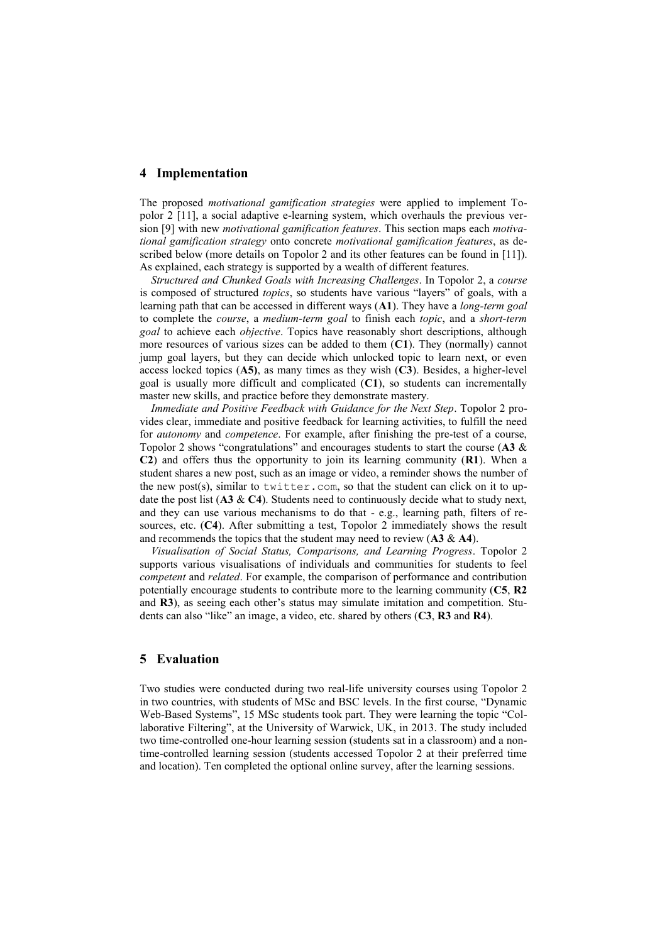#### **4 Implementation**

The proposed *motivational gamification strategies* were applied to implement Topolor 2 [11], a social adaptive e-learning system, which overhauls the previous version [9] with new *motivational gamification features*. This section maps each *motivational gamification strategy* onto concrete *motivational gamification features*, as described below (more details on Topolor 2 and its other features can be found in [11]). As explained, each strategy is supported by a wealth of different features.

 *Structured and Chunked Goals with Increasing Challenges*. In Topolor 2, a *course* is composed of structured *topics*, so students have various "layers" of goals, with a learning path that can be accessed in different ways (**A1**). They have a *long-term goal* to complete the *course*, a *medium-term goal* to finish each *topic*, and a *short-term goal* to achieve each *objective*. Topics have reasonably short descriptions, although more resources of various sizes can be added to them (**C1**). They (normally) cannot jump goal layers, but they can decide which unlocked topic to learn next, or even access locked topics (**A5)**, as many times as they wish (**C3**). Besides, a higher-level goal is usually more difficult and complicated (**C1**), so students can incrementally master new skills, and practice before they demonstrate mastery.

 *Immediate and Positive Feedback with Guidance for the Next Step*. Topolor 2 provides clear, immediate and positive feedback for learning activities, to fulfill the need for *autonomy* and *competence*. For example, after finishing the pre-test of a course, Topolor 2 shows "congratulations" and encourages students to start the course (**A3** & **C2**) and offers thus the opportunity to join its learning community (**R1**). When a student shares a new post, such as an image or video, a reminder shows the number of the new post(s), similar to twitter.com, so that the student can click on it to update the post list (**A3** & **C4**). Students need to continuously decide what to study next, and they can use various mechanisms to do that - e.g., learning path, filters of resources, etc. (**C4**). After submitting a test, Topolor 2 immediately shows the result and recommends the topics that the student may need to review (**A3** & **A4**).

 *Visualisation of Social Status, Comparisons, and Learning Progress*. Topolor 2 supports various visualisations of individuals and communities for students to feel *competent* and *related*. For example, the comparison of performance and contribution potentially encourage students to contribute more to the learning community (**C5**, **R2** and **R3**), as seeing each other's status may simulate imitation and competition. Students can also "like" an image, a video, etc. shared by others (**C3**, **R3** and **R4**).

#### **5 Evaluation**

Two studies were conducted during two real-life university courses using Topolor 2 in two countries, with students of MSc and BSC levels. In the first course, "Dynamic Web-Based Systems", 15 MSc students took part. They were learning the topic "Collaborative Filtering", at the University of Warwick, UK, in 2013. The study included two time-controlled one-hour learning session (students sat in a classroom) and a nontime-controlled learning session (students accessed Topolor 2 at their preferred time and location). Ten completed the optional online survey, after the learning sessions.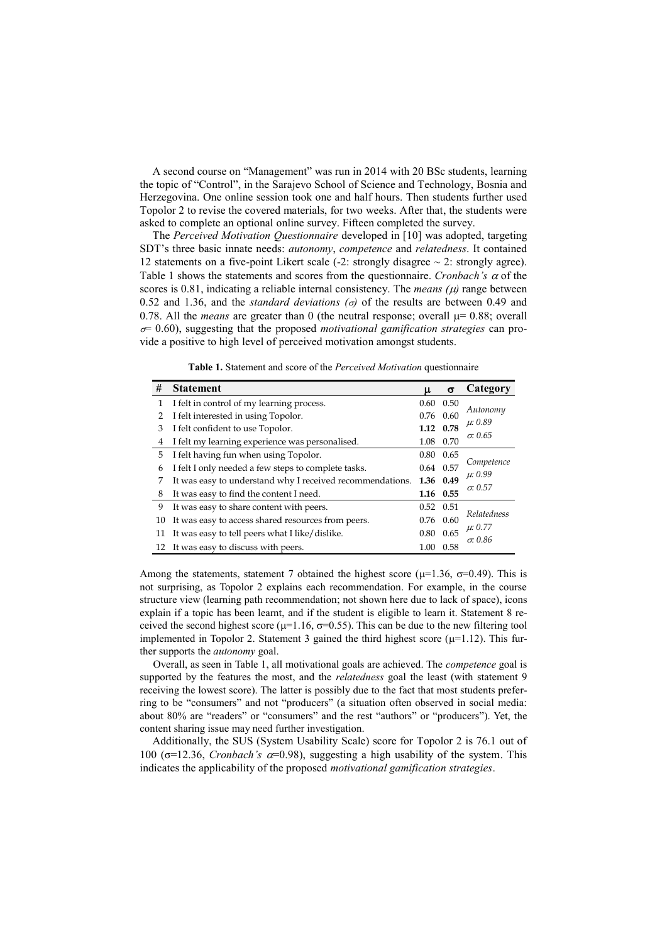A second course on "Management" was run in 2014 with 20 BSc students, learning the topic of "Control", in the Sarajevo School of Science and Technology, Bosnia and Herzegovina. One online session took one and half hours. Then students further used Topolor 2 to revise the covered materials, for two weeks. After that, the students were asked to complete an optional online survey. Fifteen completed the survey.

The *Perceived Motivation Questionnaire* developed in [10] was adopted, targeting SDT's three basic innate needs: *autonomy*, *competence* and *relatedness*. It contained 12 statements on a five-point Likert scale  $(-2)$ : strongly disagree  $\sim 2$ : strongly agree). Table 1 shows the statements and scores from the questionnaire. *Cronbach's*  $\alpha$  of the scores is 0.81, indicating a reliable internal consistency. The *means*  $(\mu)$  range between 0.52 and 1.36, and the *standard deviations*  $(\sigma)$  of the results are between 0.49 and 0.78. All the *means* are greater than 0 (the neutral response; overall  $\mu$ = 0.88; overall  $\sigma$ = 0.60), suggesting that the proposed *motivational gamification strategies* can provide a positive to high level of perceived motivation amongst students.

**Table 1.** Statement and score of the *Perceived Motivation* questionnaire

| #              | <b>Statement</b>                                          | μ                 | $\sigma$    | Category        |
|----------------|-----------------------------------------------------------|-------------------|-------------|-----------------|
| 1              | I felt in control of my learning process.                 | 0.60              | 0.50        |                 |
| $\overline{2}$ | I felt interested in using Topolor.                       |                   | $0.76$ 0.60 | Autonomy        |
| 3              | I felt confident to use Topolor.                          | 1.12 0.78         |             | $\mu$ : 0.89    |
| 4              | I felt my learning experience was personalised.           |                   | 1.08 0.70   | $\sigma$ : 0.65 |
| 5              | I felt having fun when using Topolor.                     | 0.80              | 0.65        |                 |
| 6              | I felt I only needed a few steps to complete tasks.       |                   | 0.64 0.57   | Competence      |
| 7              | It was easy to understand why I received recommendations. | 1.36 0.49         |             | $\mu: 0.99$     |
| 8              | It was easy to find the content I need.                   | 1.16 0.55         |             | $\sigma$ : 0.57 |
| 9              | It was easy to share content with peers.                  | $0.52 \quad 0.51$ |             |                 |
| 10             | It was easy to access shared resources from peers.        | $0.76$ 0.60       |             | Relatedness     |
| 11             | It was easy to tell peers what I like/dislike.            |                   | $0.80$ 0.65 | $\mu$ : 0.77    |
| 12             | It was easy to discuss with peers.                        | 1.00              | 0.58        | $\sigma$ : 0.86 |

Among the statements, statement 7 obtained the highest score ( $\mu$ =1.36,  $\sigma$ =0.49). This is not surprising, as Topolor 2 explains each recommendation. For example, in the course structure view (learning path recommendation; not shown here due to lack of space), icons explain if a topic has been learnt, and if the student is eligible to learn it. Statement 8 received the second highest score ( $\mu$ =1.16,  $\sigma$ =0.55). This can be due to the new filtering tool implemented in Topolor 2. Statement 3 gained the third highest score  $(\mu=1.12)$ . This further supports the *autonomy* goal.

Overall, as seen in Table 1, all motivational goals are achieved. The *competence* goal is supported by the features the most, and the *relatedness* goal the least (with statement 9 receiving the lowest score). The latter is possibly due to the fact that most students preferring to be "consumers" and not "producers" (a situation often observed in social media: about 80% are "readers" or "consumers" and the rest "authors" or "producers"). Yet, the content sharing issue may need further investigation.

Additionally, the SUS (System Usability Scale) score for Topolor 2 is 76.1 out of 100 ( $\sigma$ =12.36, *Cronbach's*  $\alpha$ =0.98), suggesting a high usability of the system. This indicates the applicability of the proposed *motivational gamification strategies*.